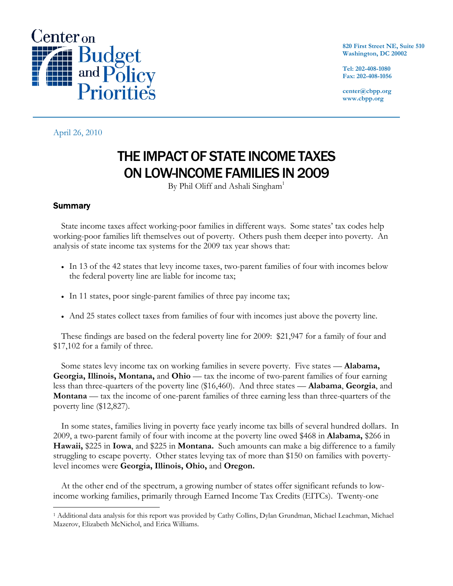

**820 First Street NE, Suite 510 Washington, DC 20002** 

**Tel: 202-408-1080 Fax: 202-408-1056** 

**center@cbpp.org www.cbpp.org** 

April 26, 2010

# THE IMPACT OF STATE INCOME TAXES ON LOW-INCOME FAMILIES IN 2009

By Phil Oliff and Ashali Singham<sup>1</sup>

## **Summary**

 $\overline{a}$ 

State income taxes affect working-poor families in different ways. Some states' tax codes help working-poor families lift themselves out of poverty. Others push them deeper into poverty. An analysis of state income tax systems for the 2009 tax year shows that:

- In 13 of the 42 states that levy income taxes, two-parent families of four with incomes below the federal poverty line are liable for income tax;
- In 11 states, poor single-parent families of three pay income tax;
- And 25 states collect taxes from families of four with incomes just above the poverty line.

These findings are based on the federal poverty line for 2009: \$21,947 for a family of four and \$17,102 for a family of three.

Some states levy income tax on working families in severe poverty. Five states — **Alabama, Georgia, Illinois, Montana,** and **Ohio** — tax the income of two-parent families of four earning less than three-quarters of the poverty line (\$16,460). And three states — **Alabama**, **Georgia**, and **Montana** — tax the income of one-parent families of three earning less than three-quarters of the poverty line (\$12,827).

In some states, families living in poverty face yearly income tax bills of several hundred dollars. In 2009, a two-parent family of four with income at the poverty line owed \$468 in **Alabama,** \$266 in **Hawaii,** \$225 in **Iowa**, and \$225 in **Montana.** Such amounts can make a big difference to a family struggling to escape poverty. Other states levying tax of more than \$150 on families with povertylevel incomes were **Georgia, Illinois, Ohio,** and **Oregon.**

At the other end of the spectrum, a growing number of states offer significant refunds to lowincome working families, primarily through Earned Income Tax Credits (EITCs). Twenty-one

<sup>1</sup> Additional data analysis for this report was provided by Cathy Collins, Dylan Grundman, Michael Leachman, Michael Mazerov, Elizabeth McNichol, and Erica Williams.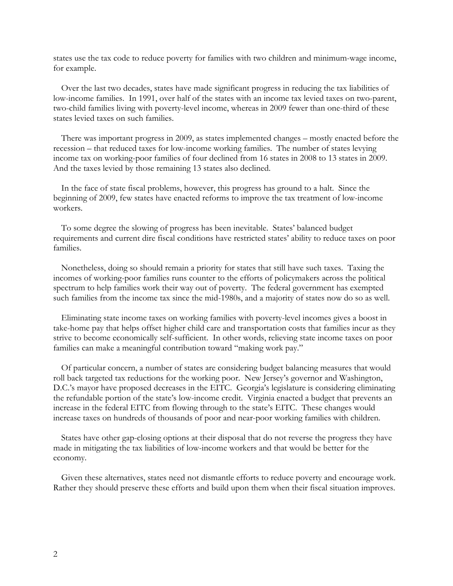states use the tax code to reduce poverty for families with two children and minimum-wage income, for example.

Over the last two decades, states have made significant progress in reducing the tax liabilities of low-income families. In 1991, over half of the states with an income tax levied taxes on two-parent, two-child families living with poverty-level income, whereas in 2009 fewer than one-third of these states levied taxes on such families.

There was important progress in 2009, as states implemented changes – mostly enacted before the recession – that reduced taxes for low-income working families. The number of states levying income tax on working-poor families of four declined from 16 states in 2008 to 13 states in 2009. And the taxes levied by those remaining 13 states also declined.

In the face of state fiscal problems, however, this progress has ground to a halt. Since the beginning of 2009, few states have enacted reforms to improve the tax treatment of low-income workers.

To some degree the slowing of progress has been inevitable. States' balanced budget requirements and current dire fiscal conditions have restricted states' ability to reduce taxes on poor families.

Nonetheless, doing so should remain a priority for states that still have such taxes. Taxing the incomes of working-poor families runs counter to the efforts of policymakers across the political spectrum to help families work their way out of poverty. The federal government has exempted such families from the income tax since the mid-1980s, and a majority of states now do so as well.

Eliminating state income taxes on working families with poverty-level incomes gives a boost in take-home pay that helps offset higher child care and transportation costs that families incur as they strive to become economically self-sufficient. In other words, relieving state income taxes on poor families can make a meaningful contribution toward "making work pay."

Of particular concern, a number of states are considering budget balancing measures that would roll back targeted tax reductions for the working poor. New Jersey's governor and Washington, D.C.'s mayor have proposed decreases in the EITC. Georgia's legislature is considering eliminating the refundable portion of the state's low-income credit. Virginia enacted a budget that prevents an increase in the federal EITC from flowing through to the state's EITC. These changes would increase taxes on hundreds of thousands of poor and near-poor working families with children.

States have other gap-closing options at their disposal that do not reverse the progress they have made in mitigating the tax liabilities of low-income workers and that would be better for the economy.

Given these alternatives, states need not dismantle efforts to reduce poverty and encourage work. Rather they should preserve these efforts and build upon them when their fiscal situation improves.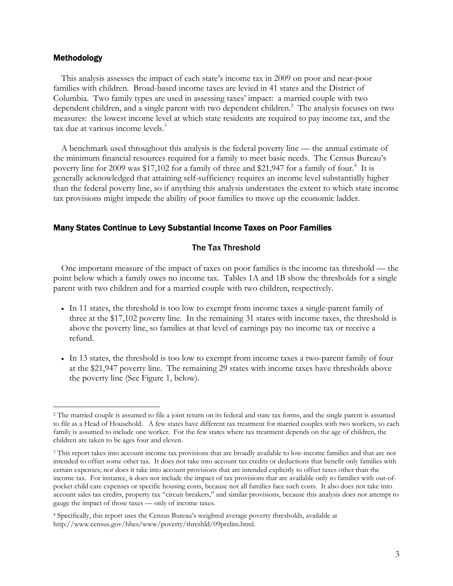#### Methodology

 $\overline{a}$ 

This analysis assesses the impact of each state's income tax in 2009 on poor and near-poor families with children. Broad-based income taxes are levied in 41 states and the District of Columbia. Two family types are used in assessing taxes' impact: a married couple with two dependent children, and a single parent with two dependent children.<sup>2</sup> The analysis focuses on two measures: the lowest income level at which state residents are required to pay income tax, and the tax due at various income levels.<sup>3</sup>

A benchmark used throughout this analysis is the federal poverty line — the annual estimate of the minimum financial resources required for a family to meet basic needs. The Census Bureau's poverty line for 2009 was \$17,102 for a family of three and \$21,947 for a family of four.<sup>4</sup> It is generally acknowledged that attaining self-sufficiency requires an income level substantially higher than the federal poverty line, so if anything this analysis understates the extent to which state income tax provisions might impede the ability of poor families to move up the economic ladder.

### Many States Continue to Levy Substantial Income Taxes on Poor Families

#### The Tax Threshold

One important measure of the impact of taxes on poor families is the income tax threshold — the point below which a family owes no income tax. Tables 1A and 1B show the thresholds for a single parent with two children and for a married couple with two children, respectively.

- In 11 states, the threshold is too low to exempt from income taxes a single-parent family of three at the \$17,102 poverty line. In the remaining 31 states with income taxes, the threshold is above the poverty line, so families at that level of earnings pay no income tax or receive a refund.
- In 13 states, the threshold is too low to exempt from income taxes a two-parent family of four at the \$21,947 poverty line. The remaining 29 states with income taxes have thresholds above the poverty line (See Figure 1, below).

<sup>&</sup>lt;sup>2</sup> The married couple is assumed to file a joint return on its federal and state tax forms, and the single parent is assumed to file as a Head of Household. A few states have different tax treatment for married couples with two workers, so each family is assumed to include one worker. For the few states where tax treatment depends on the age of children, the children are taken to be ages four and eleven.

<sup>3</sup> This report takes into account income tax provisions that are broadly available to low-income families and that are not intended to offset some other tax. It does not take into account tax credits or deductions that benefit only families with certain expenses; nor does it take into account provisions that are intended explicitly to offset taxes other than the income tax. For instance, it does not include the impact of tax provisions that are available only to families with out-ofpocket child care expenses or specific housing costs, because not all families face such costs. It also does not take into account sales tax credits, property tax "circuit breakers," and similar provisions, because this analysis does not attempt to gauge the impact of those taxes — only of income taxes.

<sup>4</sup> Specifically, this report uses the Census Bureau's weighted average poverty thresholds, available at http://www.census.gov/hhes/www/poverty/threshld/09prelim.html.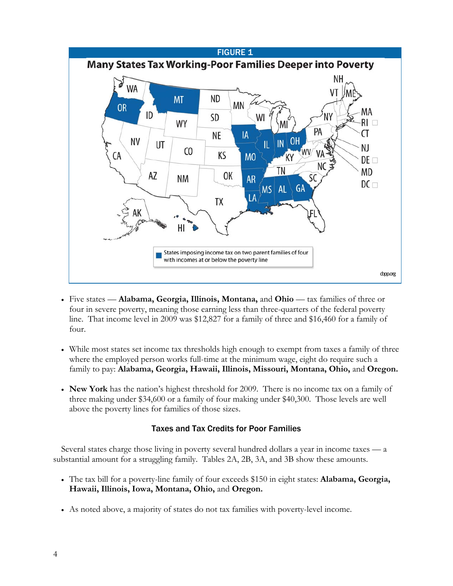

- Five states **Alabama, Georgia, Illinois, Montana,** and **Ohio**  tax families of three or four in severe poverty, meaning those earning less than three-quarters of the federal poverty line. That income level in 2009 was \$12,827 for a family of three and \$16,460 for a family of four.
- While most states set income tax thresholds high enough to exempt from taxes a family of three where the employed person works full-time at the minimum wage, eight do require such a family to pay: **Alabama, Georgia, Hawaii, Illinois, Missouri, Montana, Ohio,** and **Oregon.**
- **New York** has the nation's highest threshold for 2009. There is no income tax on a family of three making under \$34,600 or a family of four making under \$40,300. Those levels are well above the poverty lines for families of those sizes.

## Taxes and Tax Credits for Poor Families

Several states charge those living in poverty several hundred dollars a year in income taxes — a substantial amount for a struggling family. Tables 2A, 2B, 3A, and 3B show these amounts.

- The tax bill for a poverty-line family of four exceeds \$150 in eight states: **Alabama, Georgia, Hawaii, Illinois, Iowa, Montana, Ohio,** and **Oregon.**
- As noted above, a majority of states do not tax families with poverty-level income.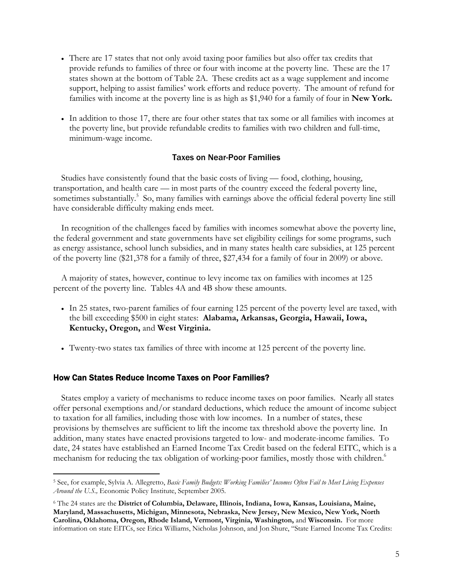- There are 17 states that not only avoid taxing poor families but also offer tax credits that provide refunds to families of three or four with income at the poverty line. These are the 17 states shown at the bottom of Table 2A. These credits act as a wage supplement and income support, helping to assist families' work efforts and reduce poverty. The amount of refund for families with income at the poverty line is as high as \$1,940 for a family of four in **New York.**
- In addition to those 17, there are four other states that tax some or all families with incomes at the poverty line, but provide refundable credits to families with two children and full-time, minimum-wage income.

### Taxes on Near-Poor Families

Studies have consistently found that the basic costs of living — food, clothing, housing, transportation, and health care — in most parts of the country exceed the federal poverty line, sometimes substantially.<sup>5</sup> So, many families with earnings above the official federal poverty line still have considerable difficulty making ends meet.

In recognition of the challenges faced by families with incomes somewhat above the poverty line, the federal government and state governments have set eligibility ceilings for some programs, such as energy assistance, school lunch subsidies, and in many states health care subsidies, at 125 percent of the poverty line (\$21,378 for a family of three, \$27,434 for a family of four in 2009) or above.

A majority of states, however, continue to levy income tax on families with incomes at 125 percent of the poverty line. Tables 4A and 4B show these amounts.

- In 25 states, two-parent families of four earning 125 percent of the poverty level are taxed, with the bill exceeding \$500 in eight states: **Alabama, Arkansas, Georgia, Hawaii, Iowa, Kentucky, Oregon,** and **West Virginia.**
- Twenty-two states tax families of three with income at 125 percent of the poverty line.

#### How Can States Reduce Income Taxes on Poor Families?

-

States employ a variety of mechanisms to reduce income taxes on poor families. Nearly all states offer personal exemptions and/or standard deductions, which reduce the amount of income subject to taxation for all families, including those with low incomes. In a number of states, these provisions by themselves are sufficient to lift the income tax threshold above the poverty line. In addition, many states have enacted provisions targeted to low- and moderate-income families. To date, 24 states have established an Earned Income Tax Credit based on the federal EITC, which is a mechanism for reducing the tax obligation of working-poor families, mostly those with children.<sup>6</sup>

<sup>5</sup> See, for example, Sylvia A. Allegretto, *Basic Family Budgets: Working Families' Incomes Often Fail to Meet Living Expenses Around the U.S.,* Economic Policy Institute, September 2005.

<sup>6</sup> The 24 states are the **District of Columbia, Delaware, Illinois, Indiana, Iowa, Kansas, Louisiana, Maine, Maryland, Massachusetts, Michigan, Minnesota, Nebraska, New Jersey, New Mexico, New York, North Carolina, Oklahoma, Oregon, Rhode Island, Vermont, Virginia, Washington,** and **Wisconsin.** For more information on state EITCs, see Erica Williams, Nicholas Johnson, and Jon Shure, "State Earned Income Tax Credits: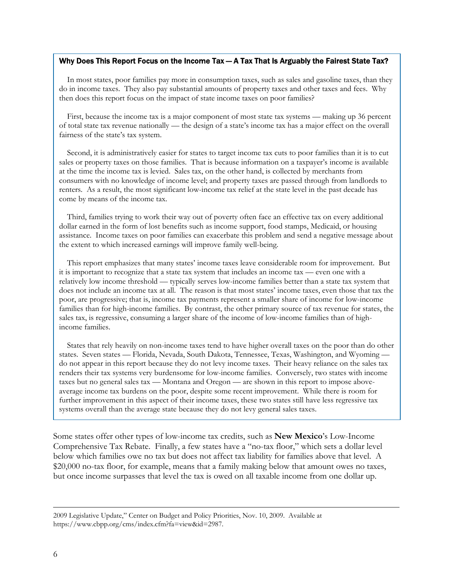#### Why Does This Report Focus on the Income Tax — A Tax That Is Arguably the Fairest State Tax?

In most states, poor families pay more in consumption taxes, such as sales and gasoline taxes, than they do in income taxes. They also pay substantial amounts of property taxes and other taxes and fees. Why then does this report focus on the impact of state income taxes on poor families?

First, because the income tax is a major component of most state tax systems — making up 36 percent of total state tax revenue nationally — the design of a state's income tax has a major effect on the overall fairness of the state's tax system.

Second, it is administratively easier for states to target income tax cuts to poor families than it is to cut sales or property taxes on those families. That is because information on a taxpayer's income is available at the time the income tax is levied. Sales tax, on the other hand, is collected by merchants from consumers with no knowledge of income level; and property taxes are passed through from landlords to renters. As a result, the most significant low-income tax relief at the state level in the past decade has come by means of the income tax.

Third, families trying to work their way out of poverty often face an effective tax on every additional dollar earned in the form of lost benefits such as income support, food stamps, Medicaid, or housing assistance. Income taxes on poor families can exacerbate this problem and send a negative message about the extent to which increased earnings will improve family well-being.

This report emphasizes that many states' income taxes leave considerable room for improvement. But it is important to recognize that a state tax system that includes an income tax — even one with a relatively low income threshold — typically serves low-income families better than a state tax system that does not include an income tax at all. The reason is that most states' income taxes, even those that tax the poor, are progressive; that is, income tax payments represent a smaller share of income for low-income families than for high-income families. By contrast, the other primary source of tax revenue for states, the sales tax, is regressive, consuming a larger share of the income of low-income families than of highincome families.

States that rely heavily on non-income taxes tend to have higher overall taxes on the poor than do other states. Seven states — Florida, Nevada, South Dakota, Tennessee, Texas, Washington, and Wyoming do not appear in this report because they do not levy income taxes. Their heavy reliance on the sales tax renders their tax systems very burdensome for low-income families. Conversely, two states with income taxes but no general sales tax — Montana and Oregon — are shown in this report to impose aboveaverage income tax burdens on the poor, despite some recent improvement. While there is room for further improvement in this aspect of their income taxes, these two states still have less regressive tax systems overall than the average state because they do not levy general sales taxes.

Some states offer other types of low-income tax credits, such as **New Mexico**'s Low-Income Comprehensive Tax Rebate. Finally, a few states have a "no-tax floor," which sets a dollar level below which families owe no tax but does not affect tax liability for families above that level. A \$20,000 no-tax floor, for example, means that a family making below that amount owes no taxes, but once income surpasses that level the tax is owed on all taxable income from one dollar up.

 <sup>2009</sup> Legislative Update," Center on Budget and Policy Priorities, Nov. 10, 2009. Available at https://www.cbpp.org/cms/index.cfm?fa=view&id=2987.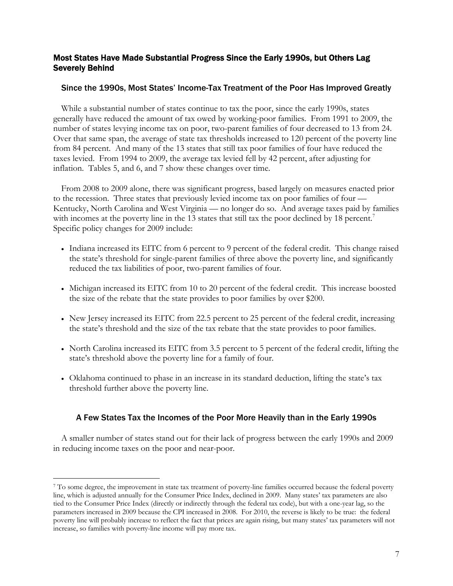## Most States Have Made Substantial Progress Since the Early 1990s, but Others Lag Severely Behind

## Since the 1990s, Most States' Income-Tax Treatment of the Poor Has Improved Greatly

While a substantial number of states continue to tax the poor, since the early 1990s, states generally have reduced the amount of tax owed by working-poor families. From 1991 to 2009, the number of states levying income tax on poor, two-parent families of four decreased to 13 from 24. Over that same span, the average of state tax thresholds increased to 120 percent of the poverty line from 84 percent. And many of the 13 states that still tax poor families of four have reduced the taxes levied. From 1994 to 2009, the average tax levied fell by 42 percent, after adjusting for inflation. Tables 5, and 6, and 7 show these changes over time.

From 2008 to 2009 alone, there was significant progress, based largely on measures enacted prior to the recession. Three states that previously levied income tax on poor families of four — Kentucky, North Carolina and West Virginia — no longer do so. And average taxes paid by families with incomes at the poverty line in the 13 states that still tax the poor declined by 18 percent.<sup>7</sup> Specific policy changes for 2009 include:

- Indiana increased its EITC from 6 percent to 9 percent of the federal credit. This change raised the state's threshold for single-parent families of three above the poverty line, and significantly reduced the tax liabilities of poor, two-parent families of four.
- Michigan increased its EITC from 10 to 20 percent of the federal credit. This increase boosted the size of the rebate that the state provides to poor families by over \$200.
- New Jersey increased its EITC from 22.5 percent to 25 percent of the federal credit, increasing the state's threshold and the size of the tax rebate that the state provides to poor families.
- North Carolina increased its EITC from 3.5 percent to 5 percent of the federal credit, lifting the state's threshold above the poverty line for a family of four.
- Oklahoma continued to phase in an increase in its standard deduction, lifting the state's tax threshold further above the poverty line.

## A Few States Tax the Incomes of the Poor More Heavily than in the Early 1990s

A smaller number of states stand out for their lack of progress between the early 1990s and 2009 in reducing income taxes on the poor and near-poor.

 $\overline{a}$ 

<sup>7</sup> To some degree, the improvement in state tax treatment of poverty-line families occurred because the federal poverty line, which is adjusted annually for the Consumer Price Index, declined in 2009. Many states' tax parameters are also tied to the Consumer Price Index (directly or indirectly through the federal tax code), but with a one-year lag, so the parameters increased in 2009 because the CPI increased in 2008. For 2010, the reverse is likely to be true: the federal poverty line will probably increase to reflect the fact that prices are again rising, but many states' tax parameters will not increase, so families with poverty-line income will pay more tax.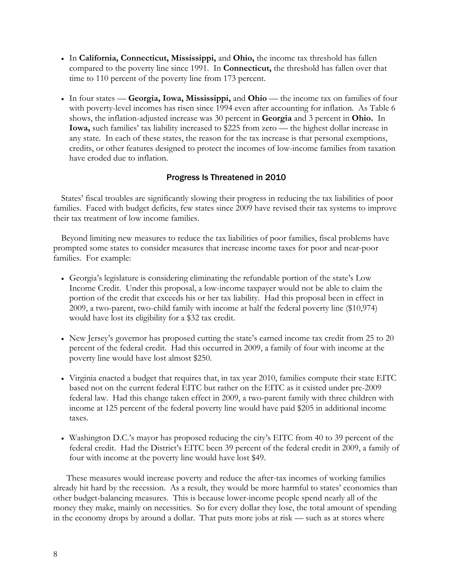- In **California, Connecticut, Mississippi,** and **Ohio,** the income tax threshold has fallen compared to the poverty line since 1991. In **Connecticut,** the threshold has fallen over that time to 110 percent of the poverty line from 173 percent.
- In four states **Georgia, Iowa, Mississippi,** and **Ohio** the income tax on families of four with poverty-level incomes has risen since 1994 even after accounting for inflation. As Table 6 shows, the inflation-adjusted increase was 30 percent in **Georgia** and 3 percent in **Ohio.** In **Iowa,** such families' tax liability increased to \$225 from zero — the highest dollar increase in any state. In each of these states, the reason for the tax increase is that personal exemptions, credits, or other features designed to protect the incomes of low-income families from taxation have eroded due to inflation.

## Progress Is Threatened in 2010

States' fiscal troubles are significantly slowing their progress in reducing the tax liabilities of poor families. Faced with budget deficits, few states since 2009 have revised their tax systems to improve their tax treatment of low income families.

Beyond limiting new measures to reduce the tax liabilities of poor families, fiscal problems have prompted some states to consider measures that increase income taxes for poor and near-poor families. For example:

- Georgia's legislature is considering eliminating the refundable portion of the state's Low Income Credit. Under this proposal, a low-income taxpayer would not be able to claim the portion of the credit that exceeds his or her tax liability. Had this proposal been in effect in 2009, a two-parent, two-child family with income at half the federal poverty line (\$10,974) would have lost its eligibility for a \$32 tax credit.
- New Jersey's governor has proposed cutting the state's earned income tax credit from 25 to 20 percent of the federal credit. Had this occurred in 2009, a family of four with income at the poverty line would have lost almost \$250.
- Virginia enacted a budget that requires that, in tax year 2010, families compute their state EITC based not on the current federal EITC but rather on the EITC as it existed under pre-2009 federal law. Had this change taken effect in 2009, a two-parent family with three children with income at 125 percent of the federal poverty line would have paid \$205 in additional income taxes.
- Washington D.C.'s mayor has proposed reducing the city's EITC from 40 to 39 percent of the federal credit. Had the District's EITC been 39 percent of the federal credit in 2009, a family of four with income at the poverty line would have lost \$49.

These measures would increase poverty and reduce the after-tax incomes of working families already hit hard by the recession. As a result, they would be more harmful to states' economies than other budget-balancing measures. This is because lower-income people spend nearly all of the money they make, mainly on necessities. So for every dollar they lose, the total amount of spending in the economy drops by around a dollar. That puts more jobs at risk — such as at stores where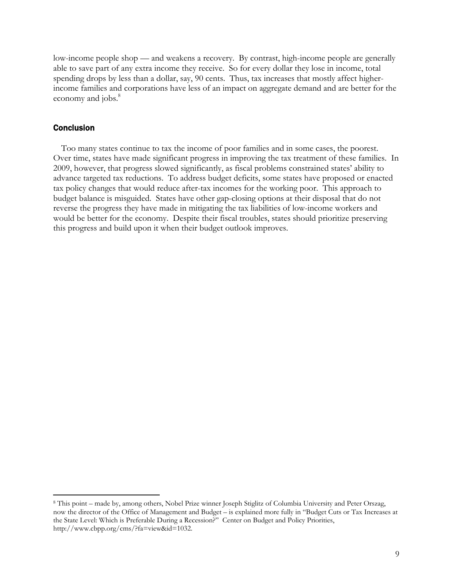low-income people shop — and weakens a recovery. By contrast, high-income people are generally able to save part of any extra income they receive. So for every dollar they lose in income, total spending drops by less than a dollar, say, 90 cents. Thus, tax increases that mostly affect higherincome families and corporations have less of an impact on aggregate demand and are better for the economy and jobs.<sup>8</sup>

#### **Conclusion**

-

Too many states continue to tax the income of poor families and in some cases, the poorest. Over time, states have made significant progress in improving the tax treatment of these families. In 2009, however, that progress slowed significantly, as fiscal problems constrained states' ability to advance targeted tax reductions. To address budget deficits, some states have proposed or enacted tax policy changes that would reduce after-tax incomes for the working poor. This approach to budget balance is misguided. States have other gap-closing options at their disposal that do not reverse the progress they have made in mitigating the tax liabilities of low-income workers and would be better for the economy. Despite their fiscal troubles, states should prioritize preserving this progress and build upon it when their budget outlook improves.

<sup>8</sup> This point – made by, among others, Nobel Prize winner Joseph Stiglitz of Columbia University and Peter Orszag, now the director of the Office of Management and Budget – is explained more fully in "Budget Cuts or Tax Increases at the State Level: Which is Preferable During a Recession?" Center on Budget and Policy Priorities, http://www.cbpp.org/cms/?fa=view&id=1032.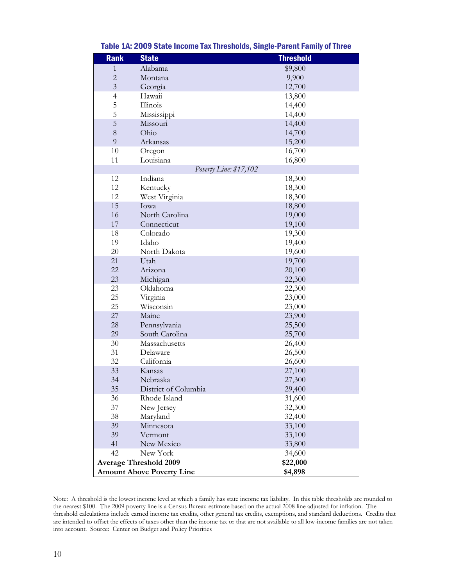| <b>Rank</b>    | <b>State</b>                     | <b>Threshold</b> |
|----------------|----------------------------------|------------------|
| 1              | Alabama                          | \$9,800          |
| $\overline{c}$ | Montana                          | 9,900            |
| $\overline{3}$ | Georgia                          | 12,700           |
| $\overline{4}$ | Hawaii                           | 13,800           |
| 5              | Illinois                         | 14,400           |
| 5              | Mississippi                      | 14,400           |
| 5              | Missouri                         | 14,400           |
| 8              | Ohio                             | 14,700           |
| 9              | Arkansas                         | 15,200           |
| 10             | Oregon                           | 16,700           |
| 11             | Louisiana                        | 16,800           |
|                | Poverty Line: \$17,102           |                  |
| 12             | Indiana                          | 18,300           |
| 12             | Kentucky                         | 18,300           |
| 12             | West Virginia                    | 18,300           |
| 15             | Iowa                             | 18,800           |
| 16             | North Carolina                   | 19,000           |
| 17             | Connecticut                      | 19,100           |
| 18             | Colorado                         | 19,300           |
| 19             | Idaho                            | 19,400           |
| 20             | North Dakota                     | 19,600           |
| 21             | Utah                             | 19,700           |
| 22             | Arizona                          | 20,100           |
| 23             | Michigan                         | 22,300           |
| 23             | Oklahoma                         | 22,300           |
| 25             | Virginia                         | 23,000           |
| 25             | Wisconsin                        | 23,000           |
| 27             | Maine                            | 23,900           |
| 28             | Pennsylvania                     | 25,500           |
| 29             | South Carolina                   | 25,700           |
| 30             | Massachusetts                    | 26,400           |
| 31             | Delaware                         | 26,500           |
| 32             | California                       | 26,600           |
| 33             | Kansas                           | 27,100           |
| 34             | Nebraska                         | 27,300           |
| 35             | District of Columbia             | 29,400           |
| 36             | Rhode Island                     | 31,600           |
| 37             | New Jersey                       | 32,300           |
| 38             | Maryland                         | 32,400           |
| 39             | Minnesota                        | 33,100           |
| 39             | Vermont                          | 33,100           |
| 41             | New Mexico                       | 33,800           |
| 42             | New York                         | 34,600           |
|                | <b>Average Threshold 2009</b>    | \$22,000         |
|                | <b>Amount Above Poverty Line</b> | \$4,898          |

### Table 1A: 2009 State Income Tax Thresholds, Single-Parent Family of Three

Note: A threshold is the lowest income level at which a family has state income tax liability. In this table thresholds are rounded to the nearest \$100. The 2009 poverty line is a Census Bureau estimate based on the actual 2008 line adjusted for inflation. The threshold calculations include earned income tax credits, other general tax credits, exemptions, and standard deductions. Credits that are intended to offset the effects of taxes other than the income tax or that are not available to all low-income families are not taken into account. Source: Center on Budget and Policy Priorities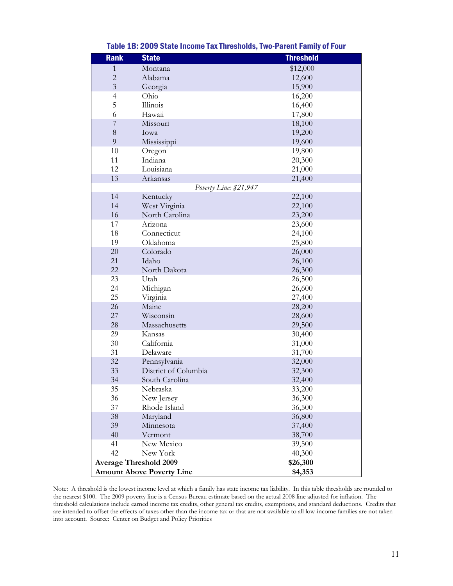| <b>Rank</b>    | <b>State</b>                     | <b>Threshold</b> |
|----------------|----------------------------------|------------------|
| $\mathbf{1}$   | Montana                          | \$12,000         |
| $\overline{c}$ | Alabama                          | 12,600           |
| $\overline{3}$ | Georgia                          | 15,900           |
| $\overline{4}$ | Ohio                             | 16,200           |
| 5              | Illinois                         | 16,400           |
| 6              | Hawaii                           | 17,800           |
| $\overline{7}$ | Missouri                         | 18,100           |
| 8              | Iowa                             | 19,200           |
| 9              | Mississippi                      | 19,600           |
| 10             | Oregon                           | 19,800           |
| 11             | Indiana                          | 20,300           |
| 12             | Louisiana                        | 21,000           |
| 13             | Arkansas                         | 21,400           |
|                | Poverty Line: \$21,947           |                  |
| 14             | Kentucky                         | 22,100           |
| 14             | West Virginia                    | 22,100           |
| 16             | North Carolina                   | 23,200           |
| 17             | Arizona                          | 23,600           |
| 18             | Connecticut                      | 24,100           |
| 19             | Oklahoma                         | 25,800           |
| $20\,$         | Colorado                         | 26,000           |
| 21             | Idaho                            | 26,100           |
| 22             | North Dakota                     | 26,300           |
| 23             | Utah                             | 26,500           |
| 24             | Michigan                         | 26,600           |
| 25             | Virginia                         | 27,400           |
| 26             | Maine                            | 28,200           |
| 27             | Wisconsin                        | 28,600           |
| 28             | Massachusetts                    | 29,500           |
| 29             | Kansas                           | 30,400           |
| 30             | California                       | 31,000           |
| 31             | Delaware                         | 31,700           |
| 32             | Pennsylvania                     | 32,000           |
| 33             | District of Columbia             | 32,300           |
| 34             | South Carolina                   | 32,400           |
| 35             | Nebraska                         | 33,200           |
| 36             | New Jersey                       | 36,300           |
| 37             | Rhode Island                     | 36,500           |
| 38             | Maryland                         | 36,800           |
| 39             | Minnesota                        | 37,400           |
| 40             | Vermont                          | 38,700           |
| 41             | New Mexico                       | 39,500           |
| 42             | New York                         | 40,300           |
|                | <b>Average Threshold 2009</b>    | \$26,300         |
|                | <b>Amount Above Poverty Line</b> | \$4,353          |

#### Table 1B: 2009 State Income Tax Thresholds, Two-Parent Family of Four

Note: A threshold is the lowest income level at which a family has state income tax liability. In this table thresholds are rounded to the nearest \$100. The 2009 poverty line is a Census Bureau estimate based on the actual 2008 line adjusted for inflation. The threshold calculations include earned income tax credits, other general tax credits, exemptions, and standard deductions. Credits that are intended to offset the effects of taxes other than the income tax or that are not available to all low-income families are not taken into account. Source: Center on Budget and Policy Priorities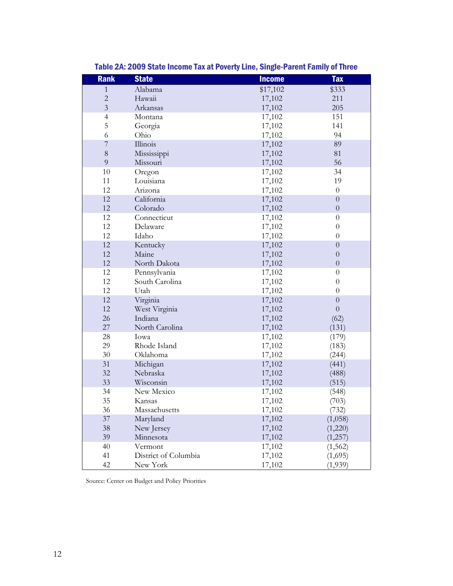| <b>Rank</b>    | <b>State</b>         | <b>Income</b> | <b>Tax</b>       |
|----------------|----------------------|---------------|------------------|
| 1              | Alabama              | \$17,102      | \$333            |
| $\overline{c}$ | Hawaii               | 17,102        | 211              |
| $\overline{3}$ | Arkansas             | 17,102        | 205              |
| $\overline{4}$ | Montana              | 17,102        | 151              |
| 5              | Georgia              | 17,102        | 141              |
| 6              | Ohio                 | 17,102        | 94               |
| $\overline{7}$ | Illinois             | 17,102        | 89               |
| 8              | Mississippi          | 17,102        | 81               |
| 9              | Missouri             | 17,102        | 56               |
| 10             | Oregon               | 17,102        | 34               |
| 11             | Louisiana            | 17,102        | 19               |
| 12             | Arizona              | 17,102        | $\boldsymbol{0}$ |
| 12             | California           | 17,102        | $\boldsymbol{0}$ |
| 12             | Colorado             | 17,102        | $\overline{0}$   |
| 12             | Connecticut          | 17,102        | $\boldsymbol{0}$ |
| 12             | Delaware             | 17,102        | $\theta$         |
| 12             | Idaho                | 17,102        | $\theta$         |
| 12             | Kentucky             | 17,102        | $\boldsymbol{0}$ |
| 12             | Maine                | 17,102        | $\overline{0}$   |
| 12             | North Dakota         | 17,102        | $\boldsymbol{0}$ |
| 12             | Pennsylvania         | 17,102        | $\theta$         |
| 12             | South Carolina       | 17,102        | $\overline{0}$   |
| 12             | Utah                 | 17,102        | $\theta$         |
| 12             | Virginia             | 17,102        | $\overline{0}$   |
| 12             | West Virginia        | 17,102        | $\overline{0}$   |
| 26             | Indiana              | 17,102        | (62)             |
| 27             | North Carolina       | 17,102        | (131)            |
| 28             | Iowa                 | 17,102        | (179)            |
| 29             | Rhode Island         | 17,102        | (183)            |
| 30             | Oklahoma             | 17,102        | (244)            |
| 31             | Michigan             | 17,102        | (441)            |
| 32             | Nebraska             | 17,102        | (488)            |
| 33             | Wisconsin            | 17,102        | (515)            |
| 34             | New Mexico           | 17,102        | (548)            |
| 35             | Kansas               | 17,102        | (703)            |
| 36             | Massachusetts        | 17,102        | (732)            |
| $37\,$         | Maryland             | 17,102        | (1,058)          |
| 38             | New Jersey           | 17,102        | (1,220)          |
| 39             | Minnesota            | 17,102        | (1,257)          |
| 40             | Vermont              | 17,102        | (1, 562)         |
| 41             | District of Columbia | 17,102        | (1,695)          |
| 42             | New York             | 17,102        | (1,939)          |

Table 2A: 2009 State Income Tax at Poverty Line, Single-Parent Family of Three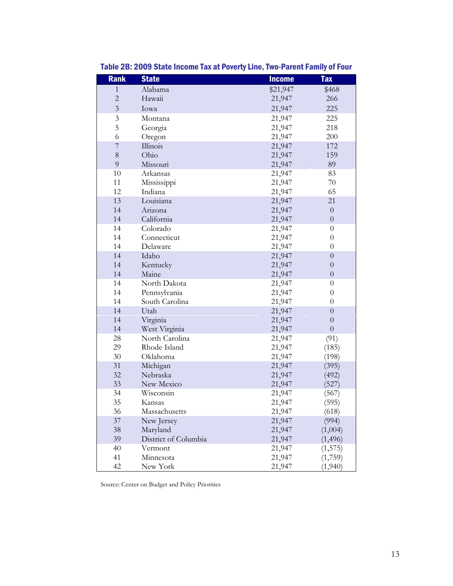| <b>Rank</b>    | <b>State</b>            | <b>Income</b>    | <b>Tax</b>           |
|----------------|-------------------------|------------------|----------------------|
| $\mathbf{1}$   | Alabama                 | \$21,947         | \$468                |
| $\overline{c}$ | Hawaii                  | 21,947           | 266                  |
| $\overline{3}$ | Iowa                    | 21,947           | 225                  |
| $\mathfrak{Z}$ | Montana                 | 21,947           | 225                  |
| 5              | Georgia                 | 21,947           | 218                  |
| 6              | Oregon                  | 21,947           | 200                  |
| $\overline{7}$ | Illinois                | 21,947           | 172                  |
| $8\,$          | Ohio                    | 21,947           | 159                  |
| 9              | Missouri                | 21,947           | 89                   |
| 10             | Arkansas                | 21,947           | 83                   |
| 11             | Mississippi             | 21,947           | 70                   |
| 12             | Indiana                 | 21,947           | 65                   |
| 13             | Louisiana               | 21,947           | 21                   |
| 14             | Arizona                 | 21,947           | $\boldsymbol{0}$     |
| 14             | California              | 21,947           | $\boldsymbol{0}$     |
| 14             | Colorado                | 21,947           | $\theta$             |
| 14             | Connecticut             | 21,947           | $\boldsymbol{0}$     |
| 14             | Delaware                | 21,947           | $\boldsymbol{0}$     |
| 14             | Idaho                   | 21,947           | $\boldsymbol{0}$     |
| 14             | Kentucky                | 21,947           | $\boldsymbol{0}$     |
| 14             | Maine                   | 21,947           | $\boldsymbol{0}$     |
| 14             | North Dakota            | 21,947           | 0                    |
| 14             | Pennsylvania            | 21,947           | $\boldsymbol{0}$     |
| 14             | South Carolina          | 21,947           | $\theta$             |
| 14             | Utah                    | 21,947           | $\boldsymbol{0}$     |
| 14             | Virginia                | 21,947           | $\boldsymbol{0}$     |
| 14             | West Virginia           | 21,947           | $\boldsymbol{0}$     |
| 28             | North Carolina          | 21,947           | (91)                 |
| 29             | Rhode Island            | 21,947           | (185)                |
| 30             | Oklahoma                | 21,947           | (198)                |
| 31             | Michigan                | 21,947           | (395)                |
| 32             | Nebraska                | 21,947           | (492)                |
| 33             | New Mexico              | 21,947           | (527)                |
| 34<br>35       | Wisconsin               | 21,947           | (567)<br>(595)       |
|                | Kansas<br>Massachusetts | 21,947<br>21,947 |                      |
| 36<br>37       |                         | 21,947           | (618)<br>(994)       |
| $38\,$         | New Jersey<br>Maryland  |                  |                      |
| 39             | District of Columbia    | 21,947<br>21,947 | (1,004)              |
| 40             | Vermont                 | 21,947           | (1, 496)<br>(1, 575) |
| 41             | Minnesota               | 21,947           | (1,759)              |
| 42             | New York                | 21,947           | (1,940)              |
|                |                         |                  |                      |

Table 2B: 2009 State Income Tax at Poverty Line, Two-Parent Family of Four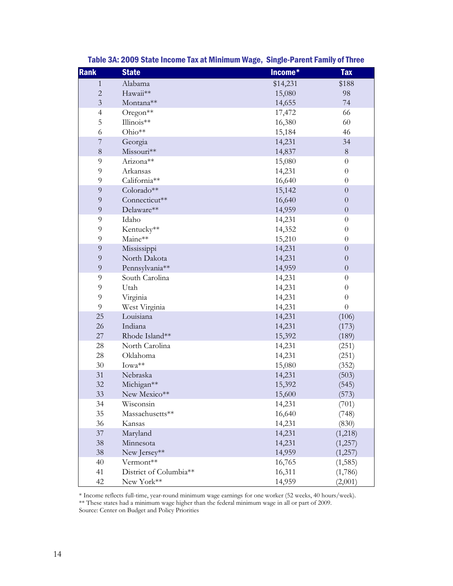| <b>Rank</b>    | <b>State</b>           | Income*  | <b>Tax</b>       |
|----------------|------------------------|----------|------------------|
| $\mathbf{1}$   | Alabama                | \$14,231 | \$188            |
| $\sqrt{2}$     | Hawaii**               | 15,080   | 98               |
| $\mathfrak{Z}$ | Montana**              | 14,655   | 74               |
| $\overline{4}$ | Oregon <sup>**</sup>   | 17,472   | 66               |
| 5              | Illinois**             | 16,380   | 60               |
| 6              | Ohio**                 | 15,184   | 46               |
| $\overline{7}$ | Georgia                | 14,231   | 34               |
| $8\,$          | Missouri**             | 14,837   | $8\,$            |
| $\overline{9}$ | Arizona**              | 15,080   | $\boldsymbol{0}$ |
| 9              | Arkansas               | 14,231   | $\boldsymbol{0}$ |
| $\mathfrak{g}$ | California**           | 16,640   | $\boldsymbol{0}$ |
| $\overline{9}$ | Colorado**             | 15,142   | $\boldsymbol{0}$ |
| $\overline{9}$ | Connecticut**          | 16,640   | $\boldsymbol{0}$ |
| $\overline{9}$ | Delaware**             | 14,959   | $\boldsymbol{0}$ |
| $\overline{9}$ | Idaho                  | 14,231   | $\boldsymbol{0}$ |
| 9              | Kentucky**             | 14,352   | $\boldsymbol{0}$ |
| 9              | Maine**                | 15,210   | $\boldsymbol{0}$ |
| $\overline{9}$ | Mississippi            | 14,231   | $\boldsymbol{0}$ |
| $\overline{9}$ | North Dakota           | 14,231   | $\boldsymbol{0}$ |
| $\mathbf 9$    | Pennsylvania**         | 14,959   | $\boldsymbol{0}$ |
| $\overline{9}$ | South Carolina         | 14,231   | $\boldsymbol{0}$ |
| $\mathfrak{g}$ | Utah                   | 14,231   | $\boldsymbol{0}$ |
| $\overline{9}$ | Virginia               | 14,231   | $\boldsymbol{0}$ |
| $\overline{9}$ | West Virginia          | 14,231   | $\boldsymbol{0}$ |
| 25             | Louisiana              | 14,231   | (106)            |
| 26             | Indiana                | 14,231   | (173)            |
| 27             | Rhode Island**         | 15,392   | (189)            |
| 28             | North Carolina         | 14,231   | (251)            |
| 28             | Oklahoma               | 14,231   | (251)            |
| 30             | Iowa**                 | 15,080   | (352)            |
| 31             | Nebraska               | 14,231   | (503)            |
| 32             | Michigan**             | 15,392   | (545)            |
| 33             | New Mexico**           | 15,600   | (573)            |
| 34             | Wisconsin              | 14,231   | (701)            |
| 35             | Massachusetts**        | 16,640   | (748)            |
| 36             | Kansas                 | 14,231   | (830)            |
| 37             | Maryland               | 14,231   | (1,218)          |
| 38             | Minnesota              | 14,231   | (1,257)          |
| 38             | New Jersey**           | 14,959   | (1,257)          |
| 40             | Vermont**              | 16,765   | (1, 585)         |
| 41             | District of Columbia** | 16,311   | (1,786)          |
| 42             | New York**             | 14,959   | (2,001)          |

Table 3A: 2009 State Income Tax at Minimum Wage, Single-Parent Family of Three

\* Income reflects full-time, year-round minimum wage earnings for one worker (52 weeks, 40 hours/week). \*\* These states had a minimum wage higher than the federal minimum wage in all or part of 2009.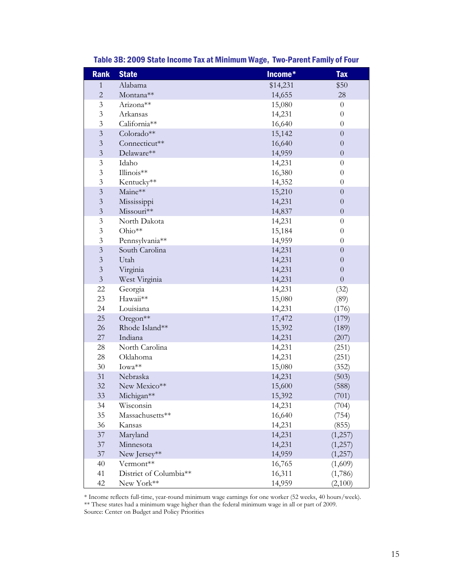| <b>Rank</b>             | <b>State</b>           | Income*  | <b>Tax</b>       |
|-------------------------|------------------------|----------|------------------|
| $\mathbf{1}$            | Alabama                | \$14,231 | \$50             |
| $\overline{2}$          | Montana**              | 14,655   | 28               |
| $\mathfrak{Z}$          | Arizona**              | 15,080   | $\theta$         |
| 3                       | Arkansas               | 14,231   | $\theta$         |
| $\mathfrak{Z}$          | California**           | 16,640   | $\theta$         |
| $\overline{3}$          | Colorado**             | 15,142   | $\overline{0}$   |
| $\mathfrak{Z}$          | Connecticut**          | 16,640   | $\theta$         |
| $\mathfrak{Z}$          | Delaware**             | 14,959   | $\boldsymbol{0}$ |
| $\mathfrak{Z}$          | Idaho                  | 14,231   | $\theta$         |
| 3                       | Illinois**             | 16,380   | $\theta$         |
| $\mathfrak{Z}$          | Kentucky**             | 14,352   | $\overline{0}$   |
| $\mathfrak{Z}$          | Maine**                | 15,210   | $\overline{0}$   |
| $\mathfrak{Z}$          | Mississippi            | 14,231   | $\theta$         |
| $\overline{3}$          | Missouri**             | 14,837   | $\overline{0}$   |
| $\mathfrak{Z}$          | North Dakota           | 14,231   | $\theta$         |
| $\mathfrak{Z}$          | Ohio**                 | 15,184   | $\theta$         |
| $\mathfrak{Z}$          | Pennsylvania**         | 14,959   | $\theta$         |
| $\overline{\mathbf{3}}$ | South Carolina         | 14,231   | $\boldsymbol{0}$ |
| $\overline{3}$          | Utah                   | 14,231   | $\theta$         |
| $\mathfrak{Z}$          | Virginia               | 14,231   | $\overline{0}$   |
| $\mathfrak{Z}$          | West Virginia          | 14,231   | $\overline{0}$   |
| 22                      | Georgia                | 14,231   | (32)             |
| 23                      | Hawaii**               | 15,080   | (89)             |
| 24                      | Louisiana              | 14,231   | (176)            |
| 25                      | Oregon <sup>**</sup>   | 17,472   | (179)            |
| 26                      | Rhode Island**         | 15,392   | (189)            |
| 27                      | Indiana                | 14,231   | (207)            |
| 28                      | North Carolina         | 14,231   | (251)            |
| 28                      | Oklahoma               | 14,231   | (251)            |
| 30                      | Iowa**                 | 15,080   | (352)            |
| 31                      | Nebraska               | 14,231   | (503)            |
| 32                      | New Mexico**           | 15,600   | (588)            |
| 33                      | Michigan**             | 15,392   | (701)            |
| 34                      | Wisconsin              | 14,231   | (704)            |
| 35                      | Massachusetts**        | 16,640   | (754)            |
| 36                      | Kansas                 | 14,231   | (855)            |
| $37\,$                  | Maryland               | 14,231   | (1,257)          |
| 37                      | Minnesota              | 14,231   | (1,257)          |
| $37\,$                  | New Jersey**           | 14,959   | (1,257)          |
| 40                      | Vermont**              | 16,765   | (1,609)          |
| 41                      | District of Columbia** | 16,311   | (1,786)          |
| 42                      | New York**             | 14,959   | (2,100)          |

## Table 3B: 2009 State Income Tax at Minimum Wage, Two-Parent Family of Four

\* Income reflects full-time, year-round minimum wage earnings for one worker (52 weeks, 40 hours/week).

\*\* These states had a minimum wage higher than the federal minimum wage in all or part of 2009.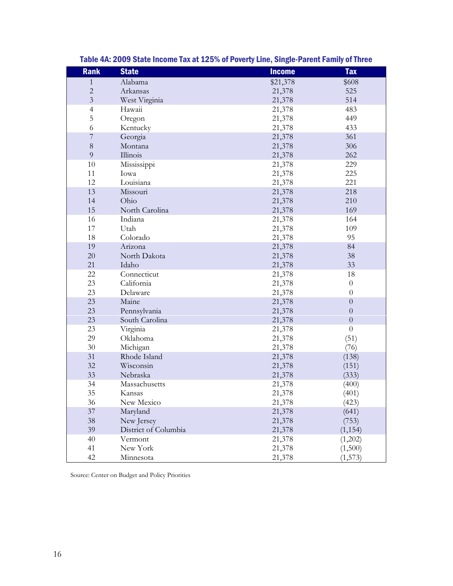| <b>Rank</b>    | <b>State</b>         | <b>Income</b> | <b>Tax</b>       |
|----------------|----------------------|---------------|------------------|
| 1              | Alabama              | \$21,378      | \$608            |
| $\overline{c}$ | Arkansas             | 21,378        | 525              |
| $\overline{3}$ | West Virginia        | 21,378        | 514              |
| $\overline{4}$ | Hawaii               | 21,378        | 483              |
| 5              | Oregon               | 21,378        | 449              |
| 6              | Kentucky             | 21,378        | 433              |
| $\overline{7}$ | Georgia              | 21,378        | 361              |
| $8\,$          | Montana              | 21,378        | 306              |
| 9              | Illinois             | 21,378        | 262              |
| 10             | Mississippi          | 21,378        | 229              |
| 11             | Iowa                 | 21,378        | 225              |
| 12             | Louisiana            | 21,378        | 221              |
| 13             | Missouri             | 21,378        | 218              |
| 14             | Ohio                 | 21,378        | 210              |
| 15             | North Carolina       | 21,378        | 169              |
| 16             | Indiana              | 21,378        | 164              |
| 17             | Utah                 | 21,378        | 109              |
| 18             | Colorado             | 21,378        | 95               |
| 19             | Arizona              | 21,378        | 84               |
| 20             | North Dakota         | 21,378        | 38               |
| 21             | Idaho                | 21,378        | 33               |
| 22             | Connecticut          | 21,378        | 18               |
| 23             | California           | 21,378        | $\theta$         |
| 23             | Delaware             | 21,378        | $\boldsymbol{0}$ |
| 23             | Maine                | 21,378        | $\overline{0}$   |
| 23             | Pennsylvania         | 21,378        | $\theta$         |
| 23             | South Carolina       | 21,378        | $\overline{0}$   |
| 23             | Virginia             | 21,378        | $\boldsymbol{0}$ |
| 29             | Oklahoma             | 21,378        | (51)             |
| $30\,$         | Michigan             | 21,378        | (76)             |
| 31             | Rhode Island         | 21,378        | (138)            |
| 32             | Wisconsin            | 21,378        | (151)            |
| 33             | Nebraska             | 21,378        | (333)            |
| 34             | Massachusetts        | 21,378        | (400)            |
| 35             | Kansas               | 21,378        | (401)            |
| 36             | New Mexico           | 21,378        | (423)            |
| 37             | Maryland             | 21,378        | (641)            |
| 38             | New Jersey           | 21,378        | (753)            |
| 39             | District of Columbia | 21,378        | (1, 154)         |
| 40             | Vermont              | 21,378        | (1,202)          |
| 41             | New York             | 21,378        | (1,500)          |
| 42             | Minnesota            | 21,378        | (1, 573)         |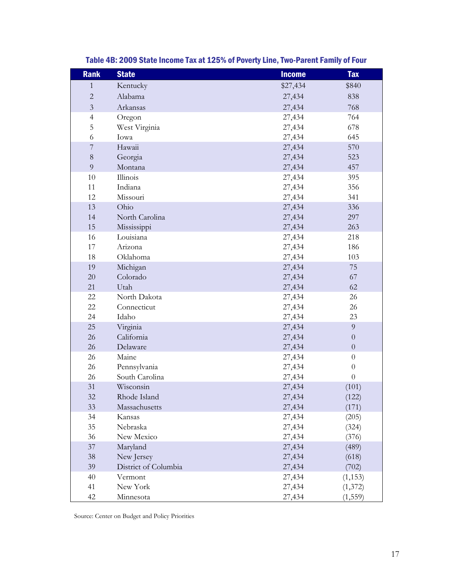| <b>Rank</b>    | <b>State</b>         | <b>Income</b> | <b>Tax</b>       |
|----------------|----------------------|---------------|------------------|
| $\mathbf{1}$   | Kentucky             | \$27,434      | \$840            |
| $\sqrt{2}$     | Alabama              | 27,434        | 838              |
| $\overline{3}$ | Arkansas             | 27,434        | 768              |
| $\overline{4}$ | Oregon               | 27,434        | 764              |
| 5              | West Virginia        | 27,434        | 678              |
| 6              | Iowa                 | 27,434        | 645              |
| $\sqrt{ }$     | Hawaii               | 27,434        | 570              |
| $8\,$          | Georgia              | 27,434        | 523              |
| 9              | Montana              | 27,434        | 457              |
| 10             | Illinois             | 27,434        | 395              |
| 11             | Indiana              | 27,434        | 356              |
| 12             | Missouri             | 27,434        | 341              |
| 13             | Ohio                 | 27,434        | 336              |
| 14             | North Carolina       | 27,434        | 297              |
| 15             | Mississippi          | 27,434        | 263              |
| 16             | Louisiana            | 27,434        | 218              |
| 17             | Arizona              | 27,434        | 186              |
| 18             | Oklahoma             | 27,434        | 103              |
| 19             | Michigan             | 27,434        | 75               |
| $20\,$         | Colorado             | 27,434        | 67               |
| 21             | Utah                 | 27,434        | 62               |
| 22             | North Dakota         | 27,434        | 26               |
| 22             | Connecticut          | 27,434        | 26               |
| 24             | Idaho                | 27,434        | 23               |
| 25             | Virginia             | 27,434        | $\overline{9}$   |
| 26             | California           | 27,434        | $\theta$         |
| 26             | Delaware             | 27,434        | $\boldsymbol{0}$ |
| 26             | Maine                | 27,434        | $\overline{0}$   |
| 26             | Pennsylvania         | 27,434        | $\boldsymbol{0}$ |
| 26             | South Carolina       | 27,434        | $\theta$         |
| 31             | Wisconsin            | 27,434        | (101)            |
| 32             | Rhode Island         | 27,434        | (122)            |
| 33             | Massachusetts        | 27,434        | (171)            |
| 34             | Kansas               | 27,434        | (205)            |
| 35             | Nebraska             | 27,434        | (324)            |
| 36             | New Mexico           | 27,434        | (376)            |
| 37             | Maryland             | 27,434        | (489)            |
| 38             | New Jersey           | 27,434        | (618)            |
| 39             | District of Columbia | 27,434        | (702)            |
| 40             | Vermont              | 27,434        | (1, 153)         |
| 41             | New York             | 27,434        | (1, 372)         |
| 42             | Minnesota            | 27,434        | (1, 559)         |

Table 4B: 2009 State Income Tax at 125% of Poverty Line, Two-Parent Family of Four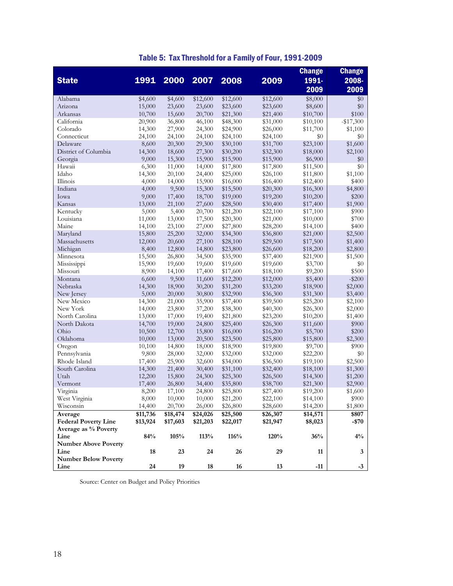|                                |                  |          |                  |                      |          | <b>Change</b>        | <b>Change</b>    |
|--------------------------------|------------------|----------|------------------|----------------------|----------|----------------------|------------------|
| <b>State</b>                   | <u> 1991 </u>    | 2000     | 2007             | 2008                 | 2009     | 1991-                | 2008-            |
|                                |                  |          |                  |                      |          |                      |                  |
|                                |                  |          |                  |                      |          | 2009                 | 2009             |
| Alabama                        | \$4,600          | \$4,600  | \$12,600         | \$12,600             | \$12,600 | \$8,000              | \$0              |
| Arizona                        | 15,000           | 23,600   | 23,600           | \$23,600             | \$23,600 | \$8,600              | \$0              |
| Arkansas                       | 10,700           | 15,600   | 20,700           | \$21,300             | \$21,400 | \$10,700             | \$100            |
| California                     | 20,900           | 36,800   | 46,100           | \$48,300             | \$31,000 | \$10,100             | $-$17,300$       |
| Colorado                       | 14,300           | 27,900   | 24,300           | \$24,900             | \$26,000 | \$11,700             | \$1,100          |
| Connecticut                    | 24,100           | 24,100   | 24,100           | \$24,100             | \$24,100 | \$0                  | \$0              |
| Delaware                       | 8,600            | 20,300   | 29,300           | \$30,100             | \$31,700 | \$23,100             | \$1,600          |
| District of Columbia           | 14,300           | 18,600   | 27,300           | \$30,200             | \$32,300 | \$18,000             | \$2,100          |
| Georgia                        | 9,000            | 15,300   | 15,900           | \$15,900             | \$15,900 | \$6,900              | \$0              |
| Hawaii                         | 6,300            | 11,000   | 14,000           | \$17,800             | \$17,800 | \$11,500             | \$0              |
| Idaho                          | 14,300           | 20,100   | 24,400           | \$25,000             | \$26,100 | \$11,800             | \$1,100          |
| Illinois                       | 4,000            | 14,000   | 15,900           | \$16,000             | \$16,400 | \$12,400             | \$400            |
| Indiana                        | 4,000            | 9,500    | 15,300           | \$15,500             | \$20,300 | \$16,300             | \$4,800          |
| Iowa                           | 9,000            | 17,400   | 18,700           | \$19,000             | \$19,200 | \$10,200             | \$200            |
| Kansas                         | 13,000           | 21,100   | 27,600           | \$28,500             | \$30,400 | \$17,400             | \$1,900          |
| Kentucky                       | 5,000            | 5,400    | 20,700           | \$21,200             | \$22,100 | \$17,100             | \$900            |
| Louisiana                      | 11,000           | 13,000   | 17,500           | \$20,300             | \$21,000 | \$10,000             | \$700            |
| Maine                          | 14,100           | 23,100   | 27,000           | \$27,800             | \$28,200 | \$14,100             | \$400            |
| Maryland                       | 15,800           | 25,200   | 32,000           | \$34,300             | \$36,800 | \$21,000             | \$2,500          |
| Massachusetts                  | 12,000           | 20,600   | 27,100           | \$28,100             | \$29,500 | \$17,500             | \$1,400          |
| Michigan                       | 8,400            | 12,800   | 14,800           | \$23,800             | \$26,600 | \$18,200             | \$2,800          |
| Minnesota                      | 15,500           | 26,800   | 34,500           | \$35,900             | \$37,400 | \$21,900             | \$1,500          |
| Mississippi                    | 15,900           | 19,600   | 19,600           | \$19,600             | \$19,600 | \$3,700              | $\$0$            |
| Missouri                       | 8,900            | 14,100   | 17,400           | \$17,600             | \$18,100 | \$9,200              | \$500            |
| Montana                        | 6,600            | 9,500    | 11,600           | \$12,200             | \$12,000 | \$5,400              | $-$ \$200        |
| Nebraska                       | 14,300           | 18,900   | 30,200           | \$31,200             | \$33,200 | \$18,900             | \$2,000          |
| New Jersey                     | 5,000            | 20,000   | 30,800           | \$32,900             | \$36,300 | \$31,300             | \$3,400          |
| New Mexico                     | 14,300           | 21,000   | 35,900           | \$37,400             | \$39,500 | \$25,200             | \$2,100          |
| New York                       | 14,000           | 23,800   | 37,200           | \$38,300             | \$40,300 | \$26,300             | \$2,000          |
| North Carolina<br>North Dakota | 13,000           | 17,000   | 19,400           | \$21,800             | \$23,200 | \$10,200             | \$1,400<br>\$900 |
| Ohio                           | 14,700           | 19,000   | 24,800           | \$25,400             | \$26,300 | \$11,600             |                  |
| Oklahoma                       | 10,500           | 12,700   | 15,800           | \$16,000             | \$16,200 | \$5,700              | \$200<br>\$2,300 |
|                                | 10,000           | 13,000   | 20,500           | \$23,500             | \$25,800 | \$15,800             | \$900            |
| Oregon                         | 10,100           | 14,800   | 18,000           | \$18,900             | \$19,800 | \$9,700              | \$0              |
| Pennsylvania<br>Rhode Island   | 9,800            | 28,000   | 32,000           | \$32,000             | \$32,000 | \$22,200<br>\$19,100 | \$2,500          |
|                                | 17,400           | 25,900   | 32,600           | \$34,000             | \$36,500 |                      |                  |
| South Carolina<br>Utah         | 14,300           | 21,400   | 30,400           | \$31,100             | \$32,400 | \$18,100             | \$1,300          |
|                                | 12,200<br>17,400 | 15,800   | 24,300           | \$25,300             | \$26,500 | \$14,300             | \$1,200          |
| Vermont                        |                  | 26,800   | 34,400           | \$35,800             | \$38,700 | \$21,300             | \$2,900          |
| Virginia<br>West Virginia      | 8,200<br>8,000   | 17,100   | 24,800<br>10,000 | \$25,800             | \$27,400 | \$19,200<br>\$14,100 | \$1,600<br>\$900 |
| Wisconsin                      |                  | 10,000   |                  | \$21,200<br>\$26,800 | \$22,100 |                      |                  |
|                                | 14,400           | 20,700   | 26,000           |                      | \$28,600 | \$14,200             | \$1,800<br>\$807 |
| Average                        | \$11,736         | \$18,474 | \$24,026         | \$25,500             | \$26,307 | \$14,571             |                  |
| <b>Federal Poverty Line</b>    | \$13,924         | \$17,603 | \$21,203         | \$22,017             | \$21,947 | \$8,023              | -\$70            |
| Average as % Poverty<br>Line   |                  |          |                  |                      |          |                      |                  |
|                                | 84%              | 105%     | 113%             | 116%                 | 120%     | 36%                  | $4\%$            |
| <b>Number Above Poverty</b>    |                  |          |                  |                      |          |                      |                  |
| Line                           | 18               | 23       | 24               | 26                   | 29       | 11                   | 3                |
| <b>Number Below Poverty</b>    |                  |          |                  |                      |          |                      |                  |
| Line                           | 24               | 19       | 18               | 16                   | 13       | $-11$                | $-3$             |

## Table 5: Tax Threshold for a Family of Four, 1991-2009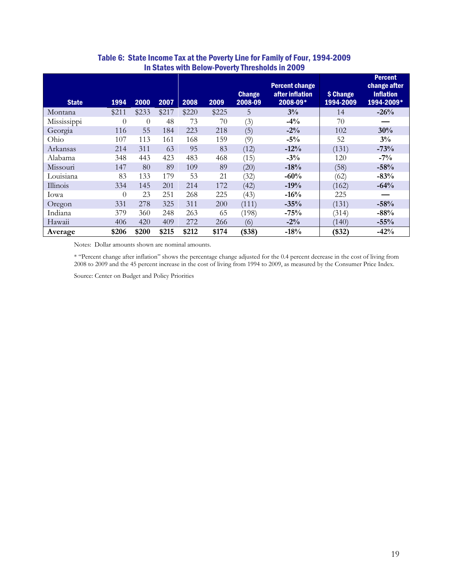| <b>State</b> | 1994     | 2000     | 2007  | 2008  | 2009  | <b>Change</b><br>2008-09 | <b>Percent change</b><br>after inflation<br>2008-09* | \$ Change<br>1994-2009 | <b>Percent</b><br>change after<br><b>Inflation</b><br>1994-2009* |
|--------------|----------|----------|-------|-------|-------|--------------------------|------------------------------------------------------|------------------------|------------------------------------------------------------------|
| Montana      | \$211    | \$233    | \$217 | \$220 | \$225 | 5                        | 3%                                                   | 14                     | $-26%$                                                           |
| Mississippi  | $\Omega$ | $\Omega$ | 48    | 73    | 70    | (3)                      | $-4%$                                                | 70                     |                                                                  |
| Georgia      | 116      | 55       | 184   | 223   | 218   | (5)                      | $-2\%$                                               | 102                    | 30%                                                              |
| Ohio         | 107      | 113      | 161   | 168   | 159   | (9)                      | $-5\%$                                               | 52                     | $3\%$                                                            |
| Arkansas     | 214      | 311      | 63    | 95    | 83    | (12)                     | $-12%$                                               | (131)                  | $-73%$                                                           |
| Alabama      | 348      | 443      | 423   | 483   | 468   | (15)                     | $-3\%$                                               | 120                    | $-7\%$                                                           |
| Missouri     | 147      | 80       | 89    | 109   | 89    | (20)                     | $-18%$                                               | (58)                   | $-58%$                                                           |
| Louisiana    | 83       | 133      | 179   | 53    | 21    | (32)                     | $-60%$                                               | (62)                   | $-83%$                                                           |
| Illinois     | 334      | 145      | 201   | 214   | 172   | (42)                     | $-19%$                                               | (162)                  | $-64%$                                                           |
| Iowa         | $\theta$ | 23       | 251   | 268   | 225   | (43)                     | $-16%$                                               | 225                    |                                                                  |
| Oregon       | 331      | 278      | 325   | 311   | 200   | (111)                    | $-35%$                                               | (131)                  | $-58%$                                                           |
| Indiana      | 379      | 360      | 248   | 263   | 65    | (198)                    | $-75%$                                               | (314)                  | $-88%$                                                           |
| Hawaii       | 406      | 420      | 409   | 272   | 266   | (6)                      | $-2\%$                                               | (140)                  | $-55%$                                                           |
| Average      | \$206    | \$200    | \$215 | \$212 | \$174 | (\$38)                   | $-18%$                                               | $(\$32)$               | $-42%$                                                           |

## Table 6: State Income Tax at the Poverty Line for Family of Four, 1994-2009 In States with Below-Poverty Thresholds in 2009

Notes: Dollar amounts shown are nominal amounts.

\* "Percent change after inflation" shows the percentage change adjusted for the 0.4 percent decrease in the cost of living from 2008 to 2009 and the 45 percent increase in the cost of living from 1994 to 2009, as measured by the Consumer Price Index.